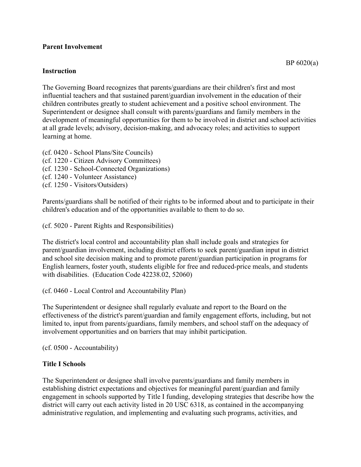## **Parent Involvement**

## **Instruction**

The Governing Board recognizes that parents/guardians are their children's first and most influential teachers and that sustained parent/guardian involvement in the education of their children contributes greatly to student achievement and a positive school environment. The Superintendent or designee shall consult with parents/guardians and family members in the development of meaningful opportunities for them to be involved in district and school activities at all grade levels; advisory, decision-making, and advocacy roles; and activities to support learning at home.

(cf. 0420 - School Plans/Site Councils) (cf. 1220 - Citizen Advisory Committees) (cf. 1230 - School-Connected Organizations) (cf. 1240 - Volunteer Assistance) (cf. 1250 - Visitors/Outsiders)

Parents/guardians shall be notified of their rights to be informed about and to participate in their children's education and of the opportunities available to them to do so.

(cf. 5020 - Parent Rights and Responsibilities)

The district's local control and accountability plan shall include goals and strategies for parent/guardian involvement, including district efforts to seek parent/guardian input in district and school site decision making and to promote parent/guardian participation in programs for English learners, foster youth, students eligible for free and reduced-price meals, and students with disabilities. (Education Code 42238.02, 52060)

(cf. 0460 - Local Control and Accountability Plan)

The Superintendent or designee shall regularly evaluate and report to the Board on the effectiveness of the district's parent/guardian and family engagement efforts, including, but not limited to, input from parents/guardians, family members, and school staff on the adequacy of involvement opportunities and on barriers that may inhibit participation.

(cf. 0500 - Accountability)

## **Title I Schools**

The Superintendent or designee shall involve parents/guardians and family members in establishing district expectations and objectives for meaningful parent/guardian and family engagement in schools supported by Title I funding, developing strategies that describe how the district will carry out each activity listed in 20 USC 6318, as contained in the accompanying administrative regulation, and implementing and evaluating such programs, activities, and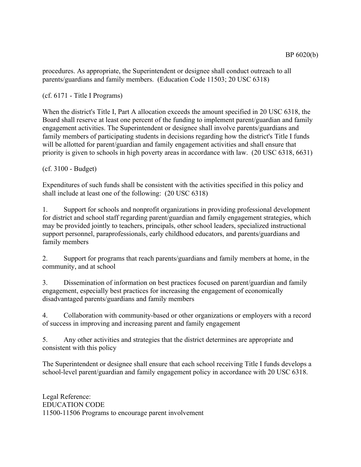procedures. As appropriate, the Superintendent or designee shall conduct outreach to all parents/guardians and family members. (Education Code 11503; 20 USC 6318)

(cf. 6171 - Title I Programs)

When the district's Title I, Part A allocation exceeds the amount specified in 20 USC 6318, the Board shall reserve at least one percent of the funding to implement parent/guardian and family engagement activities. The Superintendent or designee shall involve parents/guardians and family members of participating students in decisions regarding how the district's Title I funds will be allotted for parent/guardian and family engagement activities and shall ensure that priority is given to schools in high poverty areas in accordance with law. (20 USC 6318, 6631)

(cf. 3100 - Budget)

Expenditures of such funds shall be consistent with the activities specified in this policy and shall include at least one of the following: (20 USC 6318)

1. Support for schools and nonprofit organizations in providing professional development for district and school staff regarding parent/guardian and family engagement strategies, which may be provided jointly to teachers, principals, other school leaders, specialized instructional support personnel, paraprofessionals, early childhood educators, and parents/guardians and family members

2. Support for programs that reach parents/guardians and family members at home, in the community, and at school

3. Dissemination of information on best practices focused on parent/guardian and family engagement, especially best practices for increasing the engagement of economically disadvantaged parents/guardians and family members

4. Collaboration with community-based or other organizations or employers with a record of success in improving and increasing parent and family engagement

5. Any other activities and strategies that the district determines are appropriate and consistent with this policy

The Superintendent or designee shall ensure that each school receiving Title I funds develops a school-level parent/guardian and family engagement policy in accordance with 20 USC 6318.

Legal Reference: EDUCATION CODE 11500-11506 Programs to encourage parent involvement